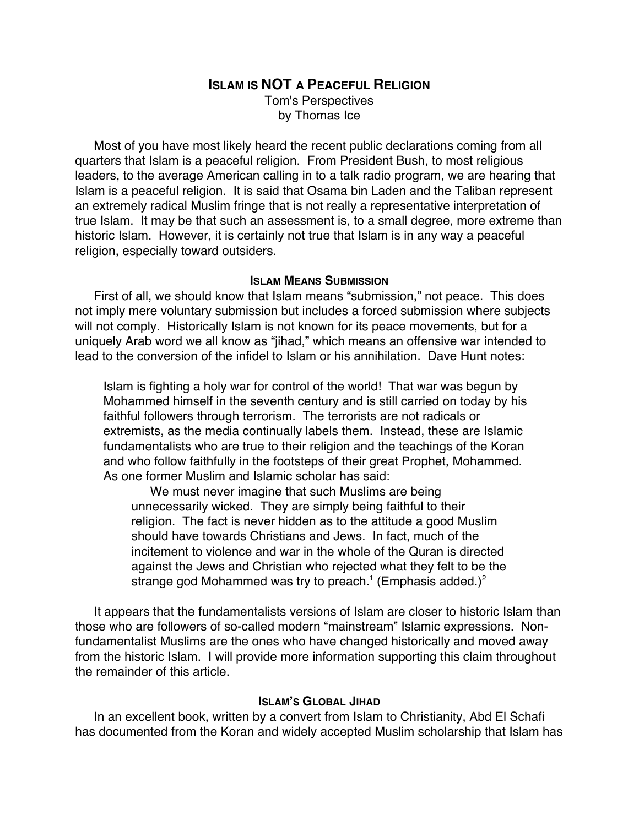# **ISLAM IS NOT A PEACEFUL RELIGION**

Tom's Perspectives by Thomas Ice

Most of you have most likely heard the recent public declarations coming from all quarters that Islam is a peaceful religion. From President Bush, to most religious leaders, to the average American calling in to a talk radio program, we are hearing that Islam is a peaceful religion. It is said that Osama bin Laden and the Taliban represent an extremely radical Muslim fringe that is not really a representative interpretation of true Islam. It may be that such an assessment is, to a small degree, more extreme than historic Islam. However, it is certainly not true that Islam is in any way a peaceful religion, especially toward outsiders.

## **ISLAM MEANS SUBMISSION**

First of all, we should know that Islam means "submission," not peace. This does not imply mere voluntary submission but includes a forced submission where subjects will not comply. Historically Islam is not known for its peace movements, but for a uniquely Arab word we all know as "jihad," which means an offensive war intended to lead to the conversion of the infidel to Islam or his annihilation. Dave Hunt notes:

Islam is fighting a holy war for control of the world! That war was begun by Mohammed himself in the seventh century and is still carried on today by his faithful followers through terrorism. The terrorists are not radicals or extremists, as the media continually labels them. Instead, these are Islamic fundamentalists who are true to their religion and the teachings of the Koran and who follow faithfully in the footsteps of their great Prophet, Mohammed. As one former Muslim and Islamic scholar has said:

We must never imagine that such Muslims are being unnecessarily wicked. They are simply being faithful to their religion. The fact is never hidden as to the attitude a good Muslim should have towards Christians and Jews. In fact, much of the incitement to violence and war in the whole of the Quran is directed against the Jews and Christian who rejected what they felt to be the strange god Mohammed was try to preach.<sup>1</sup> (Emphasis added.)<sup>2</sup>

It appears that the fundamentalists versions of Islam are closer to historic Islam than those who are followers of so-called modern "mainstream" Islamic expressions. Nonfundamentalist Muslims are the ones who have changed historically and moved away from the historic Islam. I will provide more information supporting this claim throughout the remainder of this article.

## **ISLAM'S GLOBAL JIHAD**

In an excellent book, written by a convert from Islam to Christianity, Abd El Schafi has documented from the Koran and widely accepted Muslim scholarship that Islam has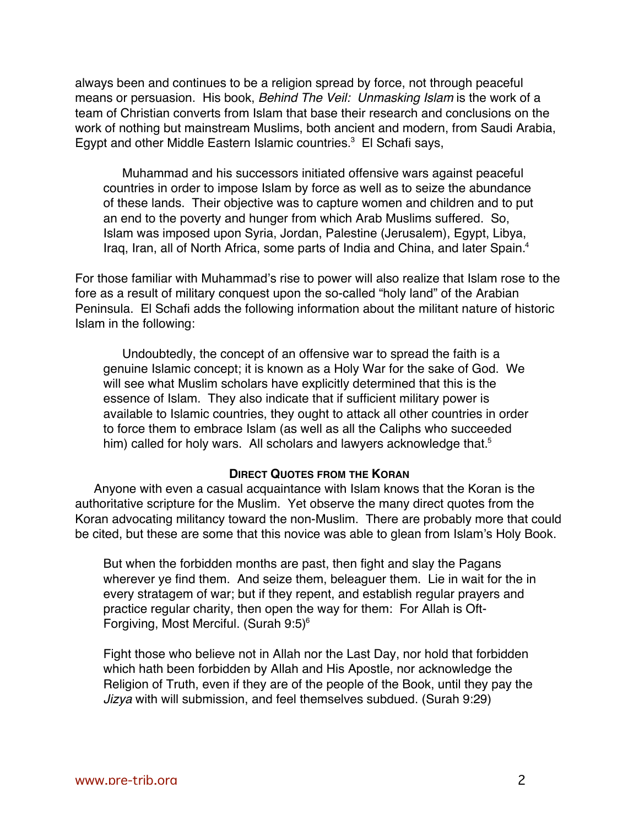always been and continues to be a religion spread by force, not through peaceful means or persuasion. His book, Behind The Veil: Unmasking Islam is the work of a team of Christian converts from Islam that base their research and conclusions on the work of nothing but mainstream Muslims, both ancient and modern, from Saudi Arabia, Egypt and other Middle Eastern Islamic countries.<sup>3</sup> El Schafi says,

Muhammad and his successors initiated offensive wars against peaceful countries in order to impose Islam by force as well as to seize the abundance of these lands. Their objective was to capture women and children and to put an end to the poverty and hunger from which Arab Muslims suffered. So, Islam was imposed upon Syria, Jordan, Palestine (Jerusalem), Egypt, Libya, Iraq, Iran, all of North Africa, some parts of India and China, and later Spain.<sup>4</sup>

For those familiar with Muhammad's rise to power will also realize that Islam rose to the fore as a result of military conquest upon the so-called "holy land" of the Arabian Peninsula. El Schafi adds the following information about the militant nature of historic Islam in the following:

Undoubtedly, the concept of an offensive war to spread the faith is a genuine Islamic concept; it is known as a Holy War for the sake of God. We will see what Muslim scholars have explicitly determined that this is the essence of Islam. They also indicate that if sufficient military power is available to Islamic countries, they ought to attack all other countries in order to force them to embrace Islam (as well as all the Caliphs who succeeded him) called for holy wars. All scholars and lawyers acknowledge that.<sup>5</sup>

### **DIRECT QUOTES FROM THE KORAN**

Anyone with even a casual acquaintance with Islam knows that the Koran is the authoritative scripture for the Muslim. Yet observe the many direct quotes from the Koran advocating militancy toward the non-Muslim. There are probably more that could be cited, but these are some that this novice was able to glean from Islam's Holy Book.

But when the forbidden months are past, then fight and slay the Pagans wherever ye find them. And seize them, beleaguer them. Lie in wait for the in every stratagem of war; but if they repent, and establish regular prayers and practice regular charity, then open the way for them: For Allah is Oft-Forgiving, Most Merciful. (Surah 9:5)6

Fight those who believe not in Allah nor the Last Day, nor hold that forbidden which hath been forbidden by Allah and His Apostle, nor acknowledge the Religion of Truth, even if they are of the people of the Book, until they pay the Jizya with will submission, and feel themselves subdued. (Surah 9:29)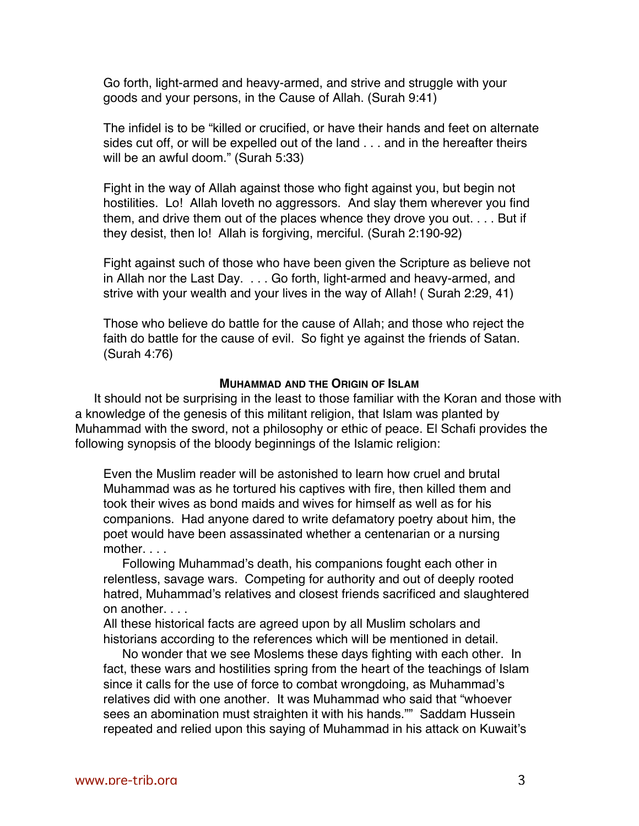Go forth, light-armed and heavy-armed, and strive and struggle with your goods and your persons, in the Cause of Allah. (Surah 9:41)

The infidel is to be "killed or crucified, or have their hands and feet on alternate sides cut off, or will be expelled out of the land . . . and in the hereafter theirs will be an awful doom." (Surah 5:33)

Fight in the way of Allah against those who fight against you, but begin not hostilities. Lo! Allah loveth no aggressors. And slay them wherever you find them, and drive them out of the places whence they drove you out. . . . But if they desist, then lo! Allah is forgiving, merciful. (Surah 2:190-92)

Fight against such of those who have been given the Scripture as believe not in Allah nor the Last Day. . . . Go forth, light-armed and heavy-armed, and strive with your wealth and your lives in the way of Allah! ( Surah 2:29, 41)

Those who believe do battle for the cause of Allah; and those who reject the faith do battle for the cause of evil. So fight ye against the friends of Satan. (Surah 4:76)

### **MUHAMMAD AND THE ORIGIN OF ISLAM**

It should not be surprising in the least to those familiar with the Koran and those with a knowledge of the genesis of this militant religion, that Islam was planted by Muhammad with the sword, not a philosophy or ethic of peace. El Schafi provides the following synopsis of the bloody beginnings of the Islamic religion:

Even the Muslim reader will be astonished to learn how cruel and brutal Muhammad was as he tortured his captives with fire, then killed them and took their wives as bond maids and wives for himself as well as for his companions. Had anyone dared to write defamatory poetry about him, the poet would have been assassinated whether a centenarian or a nursing mother. . . .

Following Muhammad's death, his companions fought each other in relentless, savage wars. Competing for authority and out of deeply rooted hatred, Muhammad's relatives and closest friends sacrificed and slaughtered on another. . . .

All these historical facts are agreed upon by all Muslim scholars and historians according to the references which will be mentioned in detail.

No wonder that we see Moslems these days fighting with each other. In fact, these wars and hostilities spring from the heart of the teachings of Islam since it calls for the use of force to combat wrongdoing, as Muhammad's relatives did with one another. It was Muhammad who said that "whoever sees an abomination must straighten it with his hands."" Saddam Hussein repeated and relied upon this saying of Muhammad in his attack on Kuwait's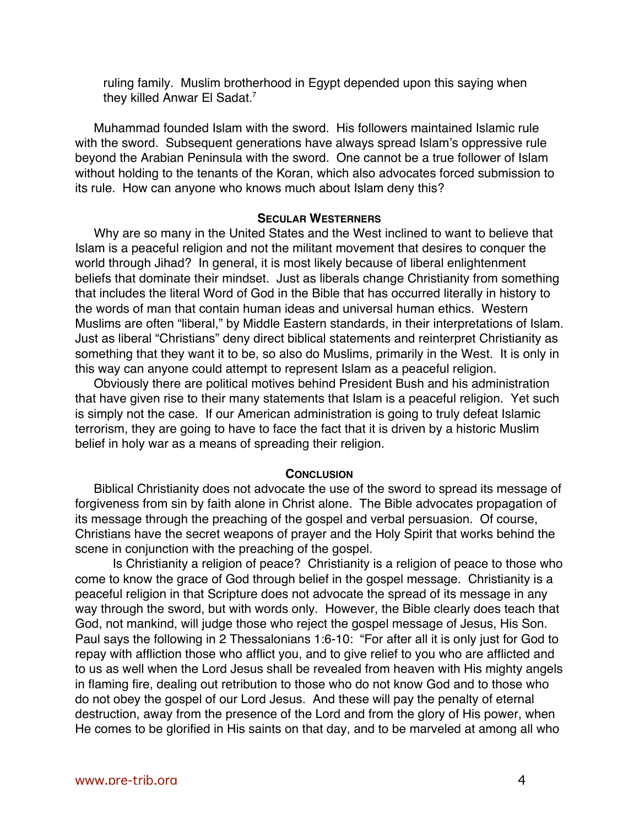ruling family. Muslim brotherhood in Egypt depended upon this saying when they killed Anwar El Sadat.<sup>7</sup>

Muhammad founded Islam with the sword. His followers maintained Islamic rule with the sword. Subsequent generations have always spread Islam's oppressive rule beyond the Arabian Peninsula with the sword. One cannot be a true follower of Islam without holding to the tenants of the Koran, which also advocates forced submission to its rule. How can anyone who knows much about Islam deny this?

## **SECULAR WESTERNERS**

Why are so many in the United States and the West inclined to want to believe that Islam is a peaceful religion and not the militant movement that desires to conquer the world through Jihad? In general, it is most likely because of liberal enlightenment beliefs that dominate their mindset. Just as liberals change Christianity from something that includes the literal Word of God in the Bible that has occurred literally in history to the words of man that contain human ideas and universal human ethics. Western Muslims are often "liberal," by Middle Eastern standards, in their interpretations of Islam. Just as liberal "Christians" deny direct biblical statements and reinterpret Christianity as something that they want it to be, so also do Muslims, primarily in the West. It is only in this way can anyone could attempt to represent Islam as a peaceful religion.

Obviously there are political motives behind President Bush and his administration that have given rise to their many statements that Islam is a peaceful religion. Yet such is simply not the case. If our American administration is going to truly defeat Islamic terrorism, they are going to have to face the fact that it is driven by a historic Muslim belief in holy war as a means of spreading their religion.

#### **CONCLUSION**

Biblical Christianity does not advocate the use of the sword to spread its message of forgiveness from sin by faith alone in Christ alone. The Bible advocates propagation of its message through the preaching of the gospel and verbal persuasion. Of course, Christians have the secret weapons of prayer and the Holy Spirit that works behind the scene in conjunction with the preaching of the gospel.

Is Christianity a religion of peace? Christianity is a religion of peace to those who come to know the grace of God through belief in the gospel message. Christianity is a peaceful religion in that Scripture does not advocate the spread of its message in any way through the sword, but with words only. However, the Bible clearly does teach that God, not mankind, will judge those who reject the gospel message of Jesus, His Son. Paul says the following in 2 Thessalonians 1:6-10: "For after all it is only just for God to repay with affliction those who afflict you, and to give relief to you who are afflicted and to us as well when the Lord Jesus shall be revealed from heaven with His mighty angels in flaming fire, dealing out retribution to those who do not know God and to those who do not obey the gospel of our Lord Jesus. And these will pay the penalty of eternal destruction, away from the presence of the Lord and from the glory of His power, when He comes to be glorified in His saints on that day, and to be marveled at among all who